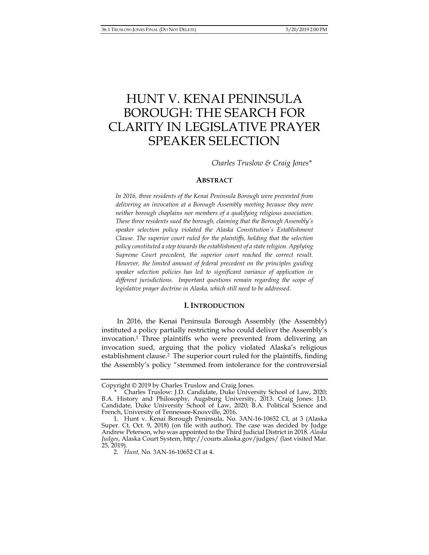# HUNT V. KENAI PENINSULA BOROUGH: THE SEARCH FOR CLARITY IN LEGISLATIVE PRAYER SPEAKER SELECTION

*Charles Truslow & Craig Jones\** 

#### **ABSTRACT**

*In 2016, three residents of the Kenai Peninsula Borough were prevented from delivering an invocation at a Borough Assembly meeting because they were neither borough chaplains nor members of a qualifying religious association. These three residents sued the borough, claiming that the Borough Assembly's speaker selection policy violated the Alaska Constitution's Establishment Clause. The superior court ruled for the plaintiffs, holding that the selection policy constituted a step towards the establishment of a state religion. Applying Supreme Court precedent, the superior court reached the correct result. However, the limited amount of federal precedent on the principles guiding speaker selection policies has led to significant variance of application in different jurisdictions. Important questions remain regarding the scope of legislative prayer doctrine in Alaska, which still need to be addressed.* 

### **I. INTRODUCTION**

In 2016, the Kenai Peninsula Borough Assembly (the Assembly) instituted a policy partially restricting who could deliver the Assembly's invocation.1 Three plaintiffs who were prevented from delivering an invocation sued, arguing that the policy violated Alaska's religious establishment clause.<sup>2</sup> The superior court ruled for the plaintiffs, finding the Assembly's policy "stemmed from intolerance for the controversial

Copyright © 2019 by Charles Truslow and Craig Jones.

 <sup>\*</sup> Charles Truslow: J.D. Candidate, Duke University School of Law, 2020; B.A. History and Philosophy, Augsburg University, 2013. Craig Jones: J.D. Candidate, Duke University School of Law, 2020; B.A. Political Science and French, University of Tennessee-Knoxville, 2016.

 <sup>1.</sup> Hunt v. Kenai Borough Peninsula, No. 3AN-16-10652 CI, at 3 (Alaska Super. Ct. Oct. 9, 2018) (on file with author). The case was decided by Judge Andrew Peterson, who was appointed to the Third Judicial District in 2018. *Alaska Judges*, Alaska Court System, http://courts.alaska.gov/judges/ (last visited Mar. 25, 2019).

 <sup>2.</sup> *Hunt,* No. 3AN-16-10652 CI at 4.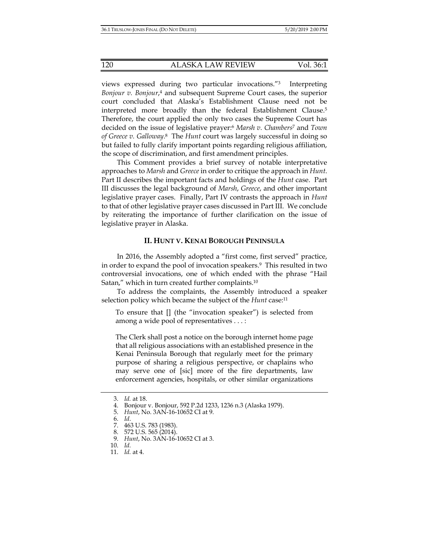views expressed during two particular invocations."3 Interpreting *Bonjour v. Bonjour*, 4 and subsequent Supreme Court cases, the superior court concluded that Alaska's Establishment Clause need not be interpreted more broadly than the federal Establishment Clause.<sup>5</sup> Therefore, the court applied the only two cases the Supreme Court has decided on the issue of legislative prayer:6 *Marsh v. Chambers*<sup>7</sup> and *Town of Greece v. Galloway*. 8 The *Hunt* court was largely successful in doing so but failed to fully clarify important points regarding religious affiliation, the scope of discrimination, and first amendment principles.

This Comment provides a brief survey of notable interpretative approaches to *Marsh* and *Greece* in order to critique the approach in *Hunt*. Part II describes the important facts and holdings of the *Hunt* case. Part III discusses the legal background of *Marsh*, *Greece*, and other important legislative prayer cases. Finally, Part IV contrasts the approach in *Hunt* to that of other legislative prayer cases discussed in Part III. We conclude by reiterating the importance of further clarification on the issue of legislative prayer in Alaska.

#### **II. HUNT V. KENAI BOROUGH PENINSULA**

In 2016, the Assembly adopted a "first come, first served" practice, in order to expand the pool of invocation speakers.9 This resulted in two controversial invocations, one of which ended with the phrase "Hail Satan," which in turn created further complaints.<sup>10</sup>

To address the complaints, the Assembly introduced a speaker selection policy which became the subject of the *Hunt* case:<sup>11</sup>

To ensure that [] (the "invocation speaker") is selected from among a wide pool of representatives . . . :

The Clerk shall post a notice on the borough internet home page that all religious associations with an established presence in the Kenai Peninsula Borough that regularly meet for the primary purpose of sharing a religious perspective, or chaplains who may serve one of [sic] more of the fire departments, law enforcement agencies, hospitals, or other similar organizations

 <sup>3.</sup> *Id.* at 18.

 <sup>4.</sup> Bonjour v. Bonjour, 592 P.2d 1233, 1236 n.3 (Alaska 1979).

 <sup>5.</sup> *Hunt*, No. 3AN-16-10652 CI at 9.

 <sup>6.</sup> *Id*.

 <sup>7. 463</sup> U.S. 783 (1983).

 <sup>8. 572</sup> U.S. 565 (2014).

 <sup>9.</sup> *Hunt*, No. 3AN-16-10652 CI at 3.

 <sup>10.</sup> *Id.*

 <sup>11.</sup> *Id.* at 4.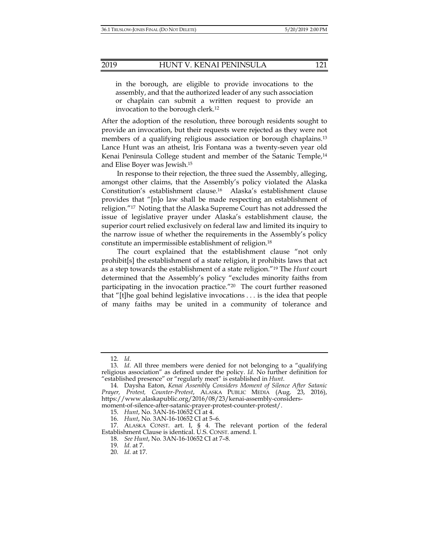in the borough, are eligible to provide invocations to the assembly, and that the authorized leader of any such association or chaplain can submit a written request to provide an invocation to the borough clerk.12

After the adoption of the resolution, three borough residents sought to provide an invocation, but their requests were rejected as they were not members of a qualifying religious association or borough chaplains.<sup>13</sup> Lance Hunt was an atheist, Iris Fontana was a twenty-seven year old Kenai Peninsula College student and member of the Satanic Temple,14 and Elise Boyer was Jewish.15

In response to their rejection, the three sued the Assembly, alleging, amongst other claims, that the Assembly's policy violated the Alaska Constitution's establishment clause.16 Alaska's establishment clause provides that "[n]o law shall be made respecting an establishment of religion."17 Noting that the Alaska Supreme Court has not addressed the issue of legislative prayer under Alaska's establishment clause, the superior court relied exclusively on federal law and limited its inquiry to the narrow issue of whether the requirements in the Assembly's policy constitute an impermissible establishment of religion.18

The court explained that the establishment clause "not only prohibit[s] the establishment of a state religion, it prohibits laws that act as a step towards the establishment of a state religion."19 The *Hunt* court determined that the Assembly's policy "excludes minority faiths from participating in the invocation practice."<sup>20</sup> The court further reasoned that "[t]he goal behind legislative invocations . . . is the idea that people of many faiths may be united in a community of tolerance and

 <sup>12.</sup> *Id*.

 <sup>13.</sup> *Id.* All three members were denied for not belonging to a "qualifying religious association" as defined under the policy. *Id.* No further definition for "established presence" or "regularly meet" is established in *Hunt*.

 <sup>14.</sup> Daysha Eaton, *Kenai Assembly Considers Moment of Silence After Satanic Prayer, Protest, Counter-Protest*, ALASKA PUBLIC MEDIA (Aug. 23, 2016), https://www.alaskapublic.org/2016/08/23/kenai-assembly-considersmoment-of-silence-after-satanic-prayer-protest-counter-protest/.

 <sup>15.</sup> *Hunt*, No. 3AN-16-10652 CI at 4.

 <sup>16.</sup> *Hunt*, No*.* 3AN-16-10652 CI at 5–6.

 <sup>17.</sup> ALASKA CONST. art. I, § 4. The relevant portion of the federal Establishment Clause is identical. U.S. CONST. amend. I.

 <sup>18.</sup> *See Hunt*, No*.* 3AN-16-10652 CI at 7–8.

 <sup>19.</sup> *Id.* at 7.

 <sup>20.</sup> *Id.* at 17.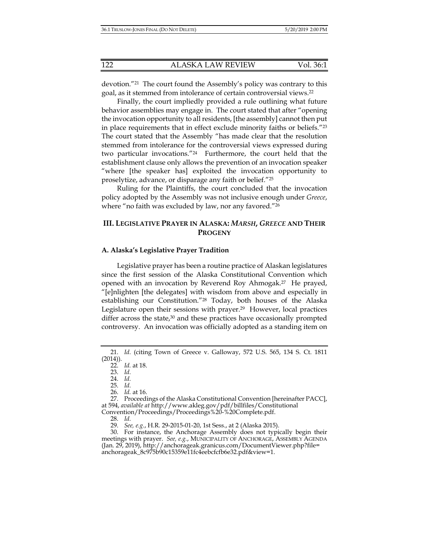devotion."21 The court found the Assembly's policy was contrary to this goal, as it stemmed from intolerance of certain controversial views.22

Finally, the court impliedly provided a rule outlining what future behavior assemblies may engage in. The court stated that after "opening the invocation opportunity to all residents, [the assembly] cannot then put in place requirements that in effect exclude minority faiths or beliefs."23 The court stated that the Assembly "has made clear that the resolution stemmed from intolerance for the controversial views expressed during two particular invocations."24 Furthermore, the court held that the establishment clause only allows the prevention of an invocation speaker "where [the speaker has] exploited the invocation opportunity to proselytize, advance, or disparage any faith or belief."25

Ruling for the Plaintiffs, the court concluded that the invocation policy adopted by the Assembly was not inclusive enough under *Greece*, where "no faith was excluded by law, nor any favored."<sup>26</sup>

## **III. LEGISLATIVE PRAYER IN ALASKA:** *MARSH***,** *GREECE* **AND THEIR PROGENY**

#### **A. Alaska's Legislative Prayer Tradition**

Legislative prayer has been a routine practice of Alaskan legislatures since the first session of the Alaska Constitutional Convention which opened with an invocation by Reverend Roy Ahmogak.27 He prayed, "[e]nlighten [the delegates] with wisdom from above and especially in establishing our Constitution."28 Today, both houses of the Alaska Legislature open their sessions with prayer.29 However, local practices differ across the state,<sup>30</sup> and these practices have occasionally prompted controversy. An invocation was officially adopted as a standing item on

28. *Id.*

29. *See, e.g.*, H.R. 29-2015-01-20, 1st Sess., at 2 (Alaska 2015).

 30. For instance, the Anchorage Assembly does not typically begin their meetings with prayer. *See, e.g.*, MUNICIPALITY OF ANCHORAGE, ASSEMBLY AGENDA (Jan. 29, 2019), http://anchorageak.granicus.com/DocumentViewer.php?file= anchorageak\_8c975b90c15359e11fc4eebcfcfb6e32.pdf&view=1.

 <sup>21.</sup> *Id.* (citing Town of Greece v. Galloway, 572 U.S. 565, 134 S. Ct. 1811 (2014)).

 <sup>22.</sup> *Id.* at 18.

 <sup>23.</sup> *Id.* 24. *Id.*

 <sup>25.</sup> *Id.*

 <sup>26.</sup> *Id.* at 16.

 <sup>27.</sup> Proceedings of the Alaska Constitutional Convention [hereinafter PACC], at 594, *available at* http://www.akleg.gov/pdf/billfiles/Constitutional Convention/Proceedings/Proceedings%20-%20Complete.pdf.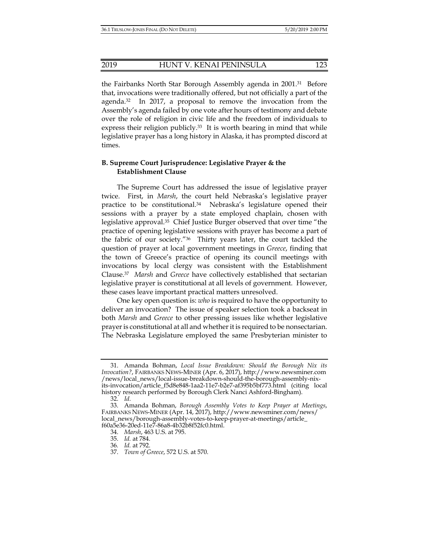the Fairbanks North Star Borough Assembly agenda in 2001.<sup>31</sup> Before that, invocations were traditionally offered, but not officially a part of the agenda.<sup>32</sup> In 2017, a proposal to remove the invocation from the Assembly's agenda failed by one vote after hours of testimony and debate over the role of religion in civic life and the freedom of individuals to express their religion publicly.<sup>33</sup> It is worth bearing in mind that while legislative prayer has a long history in Alaska, it has prompted discord at times.

## **B. Supreme Court Jurisprudence: Legislative Prayer & the Establishment Clause**

The Supreme Court has addressed the issue of legislative prayer twice. First, in *Marsh*, the court held Nebraska's legislative prayer practice to be constitutional.34 Nebraska's legislature opened their sessions with a prayer by a state employed chaplain, chosen with legislative approval.35 Chief Justice Burger observed that over time "the practice of opening legislative sessions with prayer has become a part of the fabric of our society."36 Thirty years later, the court tackled the question of prayer at local government meetings in *Greece*, finding that the town of Greece's practice of opening its council meetings with invocations by local clergy was consistent with the Establishment Clause.37 *Marsh* and *Greece* have collectively established that sectarian legislative prayer is constitutional at all levels of government. However, these cases leave important practical matters unresolved.

One key open question is: *who* is required to have the opportunity to deliver an invocation? The issue of speaker selection took a backseat in both *Marsh* and *Greece* to other pressing issues like whether legislative prayer is constitutional at all and whether it is required to be nonsectarian. The Nebraska Legislature employed the same Presbyterian minister to

 <sup>31.</sup> Amanda Bohman, *Local Issue Breakdown: Should the Borough Nix its Invocation?*, FAIRBANKS NEWS-MINER (Apr. 6, 2017), http://www.newsminer.com /news/local\_news/local-issue-breakdown-should-the-borough-assembly-nixits-invocation/article\_f5d8e848-1aa2-11e7-b2e7-af395b5bf773.html (citing local history research performed by Borough Clerk Nanci Ashford-Bingham).

 <sup>32.</sup> *Id.*

 <sup>33.</sup> Amanda Bohman, *Borough Assembly Votes to Keep Prayer at Meetings*, FAIRBANKS NEWS-MINER (Apr. 14, 2017), http://www.newsminer.com/news/ local\_news/borough-assembly-votes-to-keep-prayer-at-meetings/article\_ f60a5e36-20ed-11e7-86a8-4b32b8f52fc0.html.

 <sup>34.</sup> *Marsh*, 463 U.S. at 795.

 <sup>35.</sup> *Id.* at 784.

<sup>36</sup>*. Id.* at 792.

 <sup>37.</sup> *Town of Greece*, 572 U.S. at 570.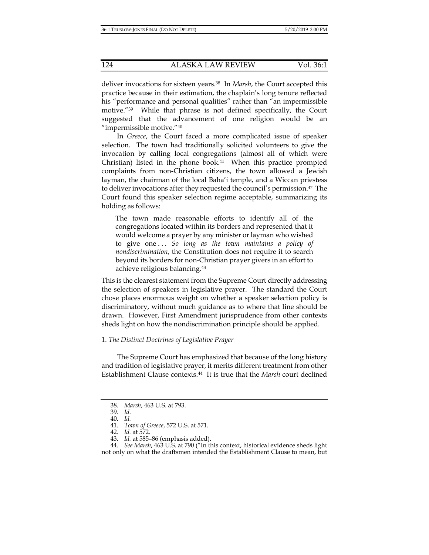deliver invocations for sixteen years.38 In *Marsh*, the Court accepted this practice because in their estimation, the chaplain's long tenure reflected his "performance and personal qualities" rather than "an impermissible motive."39 While that phrase is not defined specifically, the Court suggested that the advancement of one religion would be an "impermissible motive."40

In *Greece*, the Court faced a more complicated issue of speaker selection. The town had traditionally solicited volunteers to give the invocation by calling local congregations (almost all of which were Christian) listed in the phone book. $41$  When this practice prompted complaints from non-Christian citizens, the town allowed a Jewish layman, the chairman of the local Baha'i temple, and a Wiccan priestess to deliver invocations after they requested the council's permission.42 The Court found this speaker selection regime acceptable, summarizing its holding as follows:

The town made reasonable efforts to identify all of the congregations located within its borders and represented that it would welcome a prayer by any minister or layman who wished to give one . . . *So long as the town maintains a policy of nondiscrimination*, the Constitution does not require it to search beyond its borders for non-Christian prayer givers in an effort to achieve religious balancing.43

This is the clearest statement from the Supreme Court directly addressing the selection of speakers in legislative prayer. The standard the Court chose places enormous weight on whether a speaker selection policy is discriminatory, without much guidance as to where that line should be drawn. However, First Amendment jurisprudence from other contexts sheds light on how the nondiscrimination principle should be applied.

## 1. *The Distinct Doctrines of Legislative Prayer*

The Supreme Court has emphasized that because of the long history and tradition of legislative prayer, it merits different treatment from other Establishment Clause contexts.44 It is true that the *Marsh* court declined

 <sup>38.</sup> *Marsh*, 463 U.S. at 793.

 <sup>39.</sup> *Id.*

 <sup>40.</sup> *Id.* 

 <sup>41.</sup> *Town of Greece*, 572 U.S. at 571.

 <sup>42.</sup> *Id.* at 572.

 <sup>43.</sup> *Id.* at 585–86 (emphasis added).

 <sup>44.</sup> *See Marsh*, 463 U.S. at 790 ("In this context, historical evidence sheds light not only on what the draftsmen intended the Establishment Clause to mean, but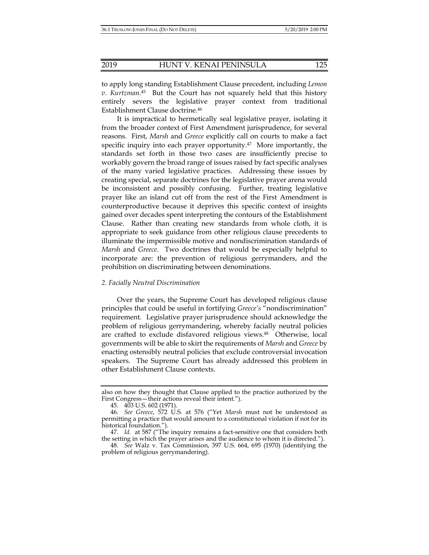to apply long standing Establishment Clause precedent, including *Lemon v. Kurtzman*. 45 But the Court has not squarely held that this history entirely severs the legislative prayer context from traditional Establishment Clause doctrine.46

It is impractical to hermetically seal legislative prayer, isolating it from the broader context of First Amendment jurisprudence, for several reasons. First, *Marsh* and *Greece* explicitly call on courts to make a fact specific inquiry into each prayer opportunity.47 More importantly, the standards set forth in those two cases are insufficiently precise to workably govern the broad range of issues raised by fact specific analyses of the many varied legislative practices. Addressing these issues by creating special, separate doctrines for the legislative prayer arena would be inconsistent and possibly confusing. Further, treating legislative prayer like an island cut off from the rest of the First Amendment is counterproductive because it deprives this specific context of insights gained over decades spent interpreting the contours of the Establishment Clause. Rather than creating new standards from whole cloth, it is appropriate to seek guidance from other religious clause precedents to illuminate the impermissible motive and nondiscrimination standards of *Marsh* and *Greece*. Two doctrines that would be especially helpful to incorporate are: the prevention of religious gerrymanders, and the prohibition on discriminating between denominations.

#### *2. Facially Neutral Discrimination*

Over the years, the Supreme Court has developed religious clause principles that could be useful in fortifying *Greece's* "nondiscrimination" requirement. Legislative prayer jurisprudence should acknowledge the problem of religious gerrymandering, whereby facially neutral policies are crafted to exclude disfavored religious views.48 Otherwise, local governments will be able to skirt the requirements of *Marsh* and *Greece* by enacting ostensibly neutral policies that exclude controversial invocation speakers.The Supreme Court has already addressed this problem in other Establishment Clause contexts.

also on how they thought that Clause applied to the practice authorized by the First Congress—their actions reveal their intent.").

 <sup>45. 403</sup> U.S. 602 (1971).

 <sup>46.</sup> *See Greece*, 572 U.S. at 576 ("Yet *Marsh* must not be understood as permitting a practice that would amount to a constitutional violation if not for its historical foundation.").

 <sup>47.</sup> *Id.* at 587 ("The inquiry remains a fact-sensitive one that considers both the setting in which the prayer arises and the audience to whom it is directed.").

 <sup>48.</sup> *See* Walz v. Tax Commission, 397 U.S. 664, 695 (1970) (identifying the problem of religious gerrymandering).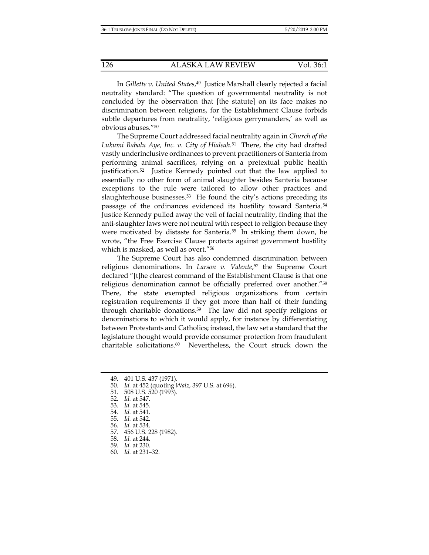In *Gillette v. United States*, 49 Justice Marshall clearly rejected a facial neutrality standard: "The question of governmental neutrality is not concluded by the observation that [the statute] on its face makes no discrimination between religions, for the Establishment Clause forbids subtle departures from neutrality, 'religious gerrymanders,' as well as obvious abuses."50

The Supreme Court addressed facial neutrality again in *Church of the Lukumi Babalu Aye, Inc. v. City of Hialeah*. 51 There, the city had drafted vastly underinclusive ordinances to prevent practitioners of Santeria from performing animal sacrifices, relying on a pretextual public health justification.52 Justice Kennedy pointed out that the law applied to essentially no other form of animal slaughter besides Santeria because exceptions to the rule were tailored to allow other practices and slaughterhouse businesses.<sup>53</sup> He found the city's actions preceding its passage of the ordinances evidenced its hostility toward Santeria.54 Justice Kennedy pulled away the veil of facial neutrality, finding that the anti-slaughter laws were not neutral with respect to religion because they were motivated by distaste for Santeria.<sup>55</sup> In striking them down, he wrote, "the Free Exercise Clause protects against government hostility which is masked, as well as overt."56

The Supreme Court has also condemned discrimination between religious denominations. In *Larson v. Valente*, 57 the Supreme Court declared "[t]he clearest command of the Establishment Clause is that one religious denomination cannot be officially preferred over another."58 There, the state exempted religious organizations from certain registration requirements if they got more than half of their funding through charitable donations.59 The law did not specify religions or denominations to which it would apply, for instance by differentiating between Protestants and Catholics; instead, the law set a standard that the legislature thought would provide consumer protection from fraudulent charitable solicitations.60 Nevertheless, the Court struck down the

- 50. *Id.* at 452 (quoting *Walz*, 397 U.S. at 696).
- 51. 508 U.S. 520 (1993).
	- 52. *Id.* at 547.
	- 53. *Id.* at 545.
	- 54. *Id.* at 541.
	- 55. *Id.* at 542.
	- 56. *Id.* at 534.
	- 57. 456 U.S. 228 (1982).
	- 58. *Id.* at 244.
	- 59. *Id.* at 230.
	- 60. *Id.* at 231–32.

 <sup>49. 401</sup> U.S. 437 (1971).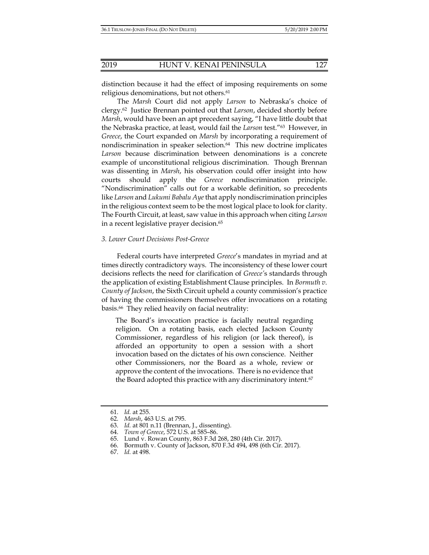distinction because it had the effect of imposing requirements on some religious denominations, but not others.<sup>61</sup>

The *Marsh* Court did not apply *Larson* to Nebraska's choice of clergy.62 Justice Brennan pointed out that *Larson*, decided shortly before *Marsh*, would have been an apt precedent saying, "I have little doubt that the Nebraska practice, at least, would fail the *Larson* test."63 However, in *Greece*, the Court expanded on *Marsh* by incorporating a requirement of nondiscrimination in speaker selection.64 This new doctrine implicates *Larson* because discrimination between denominations is a concrete example of unconstitutional religious discrimination. Though Brennan was dissenting in *Marsh*, his observation could offer insight into how courts should apply the *Greece* nondiscrimination principle. "Nondiscrimination" calls out for a workable definition, so precedents like *Larson* and *Lukumi Babalu Aye* that apply nondiscrimination principles in the religious context seem to be the most logical place to look for clarity. The Fourth Circuit, at least, saw value in this approach when citing *Larson* in a recent legislative prayer decision.<sup>65</sup>

#### *3. Lower Court Decisions Post-Greece*

Federal courts have interpreted *Greece*'s mandates in myriad and at times directly contradictory ways. The inconsistency of these lower court decisions reflects the need for clarification of *Greece'*s standards through the application of existing Establishment Clause principles. In *Bormuth v. County of Jackson*, the Sixth Circuit upheld a county commission's practice of having the commissioners themselves offer invocations on a rotating basis.66 They relied heavily on facial neutrality:

The Board's invocation practice is facially neutral regarding religion. On a rotating basis, each elected Jackson County Commissioner, regardless of his religion (or lack thereof), is afforded an opportunity to open a session with a short invocation based on the dictates of his own conscience. Neither other Commissioners, nor the Board as a whole, review or approve the content of the invocations. There is no evidence that the Board adopted this practice with any discriminatory intent.<sup>67</sup>

 <sup>61.</sup> *Id.* at 255.

 <sup>62.</sup> *Marsh*, 463 U.S. at 795.

 <sup>63.</sup> *Id.* at 801 n.11 (Brennan, J., dissenting).

 <sup>64.</sup> *Town of Greece*, 572 U.S. at 585–86.

 <sup>65.</sup> Lund v. Rowan County, 863 F.3d 268, 280 (4th Cir. 2017).

 <sup>66.</sup> Bormuth v. County of Jackson, 870 F.3d 494, 498 (6th Cir. 2017).

 <sup>67.</sup> *Id.* at 498.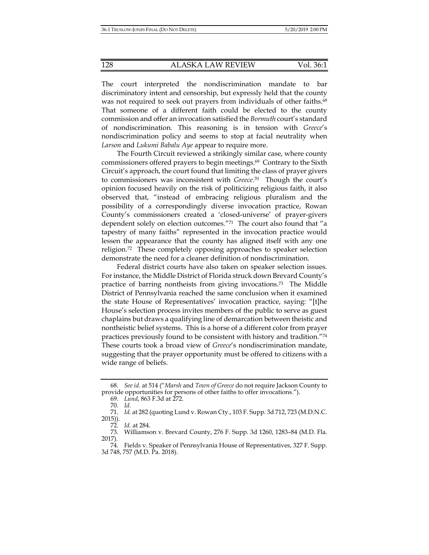The court interpreted the nondiscrimination mandate to bar discriminatory intent and censorship, but expressly held that the county was not required to seek out prayers from individuals of other faiths.<sup>68</sup> That someone of a different faith could be elected to the county commission and offer an invocation satisfied the *Bormuth* court's standard of nondiscrimination. This reasoning is in tension with *Greece*'s nondiscrimination policy and seems to stop at facial neutrality when *Larson* and *Lukumi Babalu Aye* appear to require more.

The Fourth Circuit reviewed a strikingly similar case, where county commissioners offered prayers to begin meetings.69 Contrary to the Sixth Circuit's approach, the court found that limiting the class of prayer givers to commissioners was inconsistent with *Greece*. 70 Though the court's opinion focused heavily on the risk of politicizing religious faith, it also observed that, "instead of embracing religious pluralism and the possibility of a correspondingly diverse invocation practice, Rowan County's commissioners created a 'closed-universe' of prayer-givers dependent solely on election outcomes."71 The court also found that "a tapestry of many faiths" represented in the invocation practice would lessen the appearance that the county has aligned itself with any one religion.72 These completely opposing approaches to speaker selection demonstrate the need for a cleaner definition of nondiscrimination.

Federal district courts have also taken on speaker selection issues. For instance, the Middle District of Florida struck down Brevard County's practice of barring nontheists from giving invocations.73 The Middle District of Pennsylvania reached the same conclusion when it examined the state House of Representatives' invocation practice, saying: "[t]he House's selection process invites members of the public to serve as guest chaplains but draws a qualifying line of demarcation between theistic and nontheistic belief systems. This is a horse of a different color from prayer practices previously found to be consistent with history and tradition."74 These courts took a broad view of *Greece*'s nondiscrimination mandate, suggesting that the prayer opportunity must be offered to citizens with a wide range of beliefs.

 <sup>68.</sup> *See id.* at 514 ("*Marsh* and *Town of Greece* do not require Jackson County to provide opportunities for persons of other faiths to offer invocations.").

 <sup>69.</sup> *Lund*, 863 F.3d at 272.

 <sup>70.</sup> *Id.*

 <sup>71.</sup> *Id.* at 282 (quoting Lund v. Rowan Cty., 103 F. Supp. 3d 712, 723 (M.D.N.C. 2015)).

 <sup>72.</sup> *Id.* at 284.

 <sup>73.</sup> Williamson v. Brevard County, 276 F. Supp. 3d 1260, 1283–84 (M.D. Fla. 2017).

 <sup>74.</sup> Fields v. Speaker of Pennsylvania House of Representatives, 327 F. Supp. 3d 748, 757 (M.D. Pa. 2018).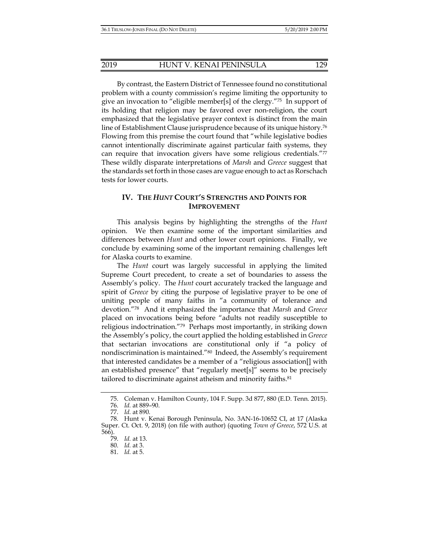By contrast, the Eastern District of Tennessee found no constitutional problem with a county commission's regime limiting the opportunity to give an invocation to "eligible member[s] of the clergy."75 In support of its holding that religion may be favored over non-religion, the court emphasized that the legislative prayer context is distinct from the main line of Establishment Clause jurisprudence because of its unique history.76 Flowing from this premise the court found that "while legislative bodies cannot intentionally discriminate against particular faith systems, they can require that invocation givers have some religious credentials."77 These wildly disparate interpretations of *Marsh* and *Greece* suggest that the standards set forth in those cases are vague enough to act as Rorschach tests for lower courts.

# **IV. THE** *HUNT* **COURT'S STRENGTHS AND POINTS FOR IMPROVEMENT**

This analysis begins by highlighting the strengths of the *Hunt*  opinion. We then examine some of the important similarities and differences between *Hunt* and other lower court opinions. Finally, we conclude by examining some of the important remaining challenges left for Alaska courts to examine.

The *Hunt* court was largely successful in applying the limited Supreme Court precedent, to create a set of boundaries to assess the Assembly's policy. The *Hunt* court accurately tracked the language and spirit of *Greece* by citing the purpose of legislative prayer to be one of uniting people of many faiths in "a community of tolerance and devotion."78 And it emphasized the importance that *Marsh* and *Greece* placed on invocations being before "adults not readily susceptible to religious indoctrination."79 Perhaps most importantly, in striking down the Assembly's policy, the court applied the holding established in *Greece* that sectarian invocations are constitutional only if "a policy of nondiscrimination is maintained."80 Indeed, the Assembly's requirement that interested candidates be a member of a "religious association[] with an established presence" that "regularly meet[s]" seems to be precisely tailored to discriminate against atheism and minority faiths.<sup>81</sup>

79. *Id.* at 13.

 <sup>75.</sup> Coleman v. Hamilton County, 104 F. Supp. 3d 877, 880 (E.D. Tenn. 2015).

 <sup>76.</sup> *Id.* at 889–90.

 <sup>77.</sup> *Id.* at 890.

 <sup>78.</sup> Hunt v. Kenai Borough Peninsula, No. 3AN-16-10652 CI, at 17 (Alaska Super. Ct. Oct. 9, 2018) (on file with author) (quoting *Town of Greece*, 572 U.S. at 566).

 <sup>80.</sup> *Id.* at 3.

 <sup>81.</sup> *Id.* at 5.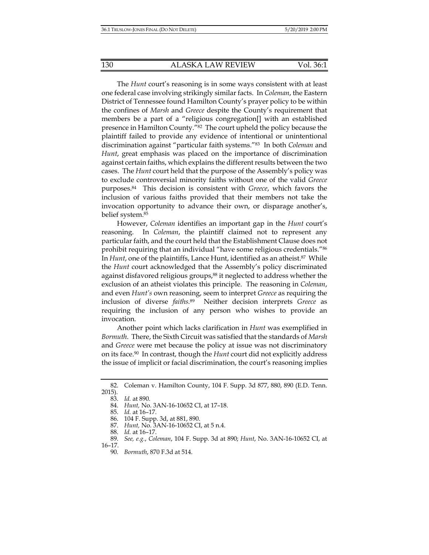The *Hunt* court's reasoning is in some ways consistent with at least one federal case involving strikingly similar facts. In *Coleman*, the Eastern District of Tennessee found Hamilton County's prayer policy to be within the confines of *Marsh* and *Greece* despite the County's requirement that members be a part of a "religious congregation[] with an established presence in Hamilton County."82 The court upheld the policy because the plaintiff failed to provide any evidence of intentional or unintentional discrimination against "particular faith systems."83 In both *Coleman* and *Hunt*, great emphasis was placed on the importance of discrimination against certain faiths, which explains the different results between the two cases. The *Hunt* court held that the purpose of the Assembly's policy was to exclude controversial minority faiths without one of the valid *Greece* purposes.84 This decision is consistent with *Greece*, which favors the inclusion of various faiths provided that their members not take the invocation opportunity to advance their own, or disparage another's, belief system.85

However, *Coleman* identifies an important gap in the *Hunt* court's reasoning. In *Coleman*, the plaintiff claimed not to represent any particular faith, and the court held that the Establishment Clause does not prohibit requiring that an individual "have some religious credentials."86 In *Hunt*, one of the plaintiffs, Lance Hunt, identified as an atheist.<sup>87</sup> While the *Hunt* court acknowledged that the Assembly's policy discriminated against disfavored religious groups,<sup>88</sup> it neglected to address whether the exclusion of an atheist violates this principle. The reasoning in *Coleman*, and even *Hunt's* own reasoning, seem to interpret *Greece* as requiring the inclusion of diverse *faiths.*<sup>89</sup>Neither decision interprets *Greece* as requiring the inclusion of any person who wishes to provide an invocation.

Another point which lacks clarification in *Hunt* was exemplified in *Bormuth*. There, the Sixth Circuit was satisfied that the standards of *Marsh*  and *Greece* were met because the policy at issue was not discriminatory on its face.90 In contrast, though the *Hunt* court did not explicitly address the issue of implicit or facial discrimination, the court's reasoning implies

 <sup>82.</sup> Coleman v. Hamilton County, 104 F. Supp. 3d 877, 880, 890 (E.D. Tenn. 2015).

 <sup>83.</sup> *Id.* at 890.

 <sup>84.</sup> *Hunt,* No. 3AN-16-10652 CI, at 17–18.

 <sup>85.</sup> *Id.* at 16–17.

 <sup>86. 104</sup> F. Supp. 3d, at 881, 890.

 <sup>87.</sup> *Hunt,* No. 3AN-16-10652 CI, at 5 n.4.

 <sup>88.</sup> *Id.* at 16–17.

 <sup>89.</sup> *See, e.g.*, *Coleman*, 104 F. Supp. 3d at 890; *Hunt*, No. 3AN-16-10652 CI, at 16–17.

 <sup>90.</sup> *Bormuth*, 870 F.3d at 514.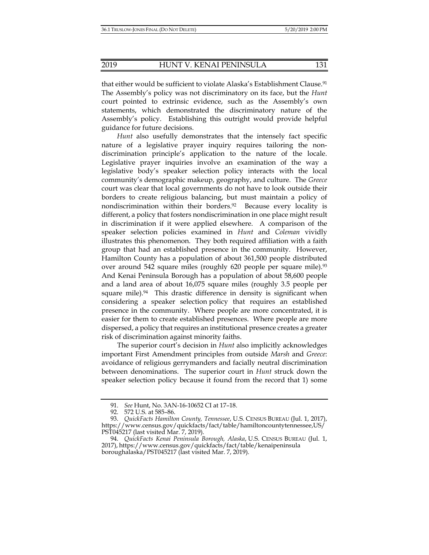that either would be sufficient to violate Alaska's Establishment Clause.<sup>91</sup> The Assembly's policy was not discriminatory on its face, but the *Hunt*  court pointed to extrinsic evidence, such as the Assembly's own statements, which demonstrated the discriminatory nature of the Assembly's policy. Establishing this outright would provide helpful guidance for future decisions.

*Hunt* also usefully demonstrates that the intensely fact specific nature of a legislative prayer inquiry requires tailoring the nondiscrimination principle's application to the nature of the locale. Legislative prayer inquiries involve an examination of the way a legislative body's speaker selection policy interacts with the local community's demographic makeup, geography, and culture. The *Greece*  court was clear that local governments do not have to look outside their borders to create religious balancing, but must maintain a policy of nondiscrimination within their borders.92 Because every locality is different, a policy that fosters nondiscrimination in one place might result in discrimination if it were applied elsewhere. A comparison of the speaker selection policies examined in *Hunt* and *Coleman* vividly illustrates this phenomenon. They both required affiliation with a faith group that had an established presence in the community. However, Hamilton County has a population of about 361,500 people distributed over around 542 square miles (roughly 620 people per square mile).<sup>93</sup> And Kenai Peninsula Borough has a population of about 58,600 people and a land area of about 16,075 square miles (roughly 3.5 people per square mile). $94$  This drastic difference in density is significant when considering a speaker selection policy that requires an established presence in the community. Where people are more concentrated, it is easier for them to create established presences. Where people are more dispersed, a policy that requires an institutional presence creates a greater risk of discrimination against minority faiths.

The superior court's decision in *Hunt* also implicitly acknowledges important First Amendment principles from outside *Marsh* and *Greece*: avoidance of religious gerrymanders and facially neutral discrimination between denominations. The superior court in *Hunt* struck down the speaker selection policy because it found from the record that 1) some

 <sup>91.</sup> *See* Hunt, No. 3AN-16-10652 CI at 17–18.

 <sup>92. 572</sup> U.S. at 585–86.

 <sup>93.</sup> *QuickFacts Hamilton County, Tennessee*, U.S. CENSUS BUREAU (Jul. 1, 2017), https://www.census.gov/quickfacts/fact/table/hamiltoncountytennessee,US/ PST045217 (last visited Mar. 7, 2019).

 <sup>94.</sup> *QuickFacts Kenai Peninsula Borough, Alaska*, U.S. CENSUS BUREAU (Jul. 1, 2017), https://www.census.gov/quickfacts/fact/table/kenaipeninsula boroughalaska/PST045217 (last visited Mar. 7, 2019).